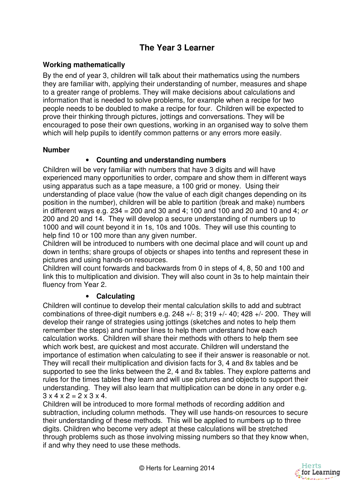# **The Year 3 Learner**

### **Working mathematically**

By the end of year 3, children will talk about their mathematics using the numbers they are familiar with, applying their understanding of number, measures and shape to a greater range of problems. They will make decisions about calculations and information that is needed to solve problems, for example when a recipe for two people needs to be doubled to make a recipe for four. Children will be expected to prove their thinking through pictures, jottings and conversations. They will be encouraged to pose their own questions, working in an organised way to solve them which will help pupils to identify common patterns or any errors more easily.

#### **Number**

### • **Counting and understanding numbers**

Children will be very familiar with numbers that have 3 digits and will have experienced many opportunities to order, compare and show them in different ways using apparatus such as a tape measure, a 100 grid or money. Using their understanding of place value (how the value of each digit changes depending on its position in the number), children will be able to partition (break and make) numbers in different ways e.g.  $234 = 200$  and  $30$  and  $4$ ;  $100$  and  $100$  and  $20$  and  $10$  and  $4$ ; or 200 and 20 and 14. They will develop a secure understanding of numbers up to 1000 and will count beyond it in 1s, 10s and 100s. They will use this counting to help find 10 or 100 more than any given number.

Children will be introduced to numbers with one decimal place and will count up and down in tenths; share groups of objects or shapes into tenths and represent these in pictures and using hands-on resources.

Children will count forwards and backwards from 0 in steps of 4, 8, 50 and 100 and link this to multiplication and division. They will also count in 3s to help maintain their fluency from Year 2.

#### • **Calculating**

Children will continue to develop their mental calculation skills to add and subtract combinations of three-digit numbers e.g.  $248 + (-8)$ ;  $319 + (-40)$ ;  $428 + (-200)$ . They will develop their range of strategies using jottings (sketches and notes to help them remember the steps) and number lines to help them understand how each calculation works. Children will share their methods with others to help them see which work best, are quickest and most accurate. Children will understand the importance of estimation when calculating to see if their answer is reasonable or not. They will recall their multiplication and division facts for 3, 4 and 8x tables and be supported to see the links between the 2, 4 and 8x tables. They explore patterns and rules for the times tables they learn and will use pictures and objects to support their understanding. They will also learn that multiplication can be done in any order e.g.  $3 \times 4 \times 2 = 2 \times 3 \times 4$ .

Children will be introduced to more formal methods of recording addition and subtraction, including column methods. They will use hands-on resources to secure their understanding of these methods. This will be applied to numbers up to three digits. Children who become very adept at these calculations will be stretched through problems such as those involving missing numbers so that they know when, if and why they need to use these methods.